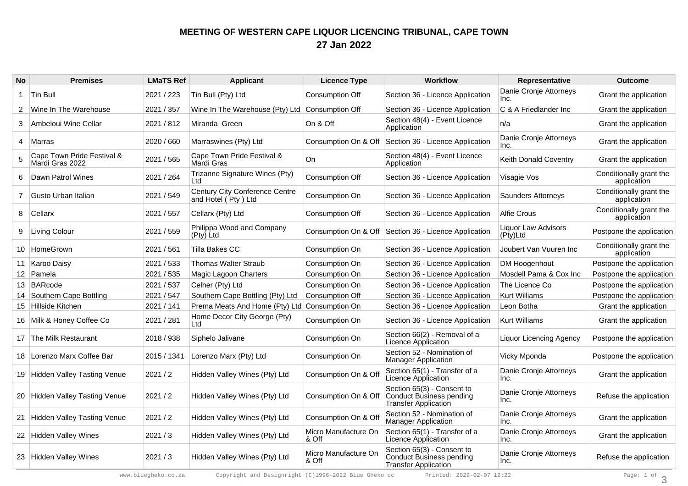## **MEETING OF WESTERN CAPE LIQUOR LICENCING TRIBUNAL, CAPE TOWN27 Jan 2022**

| <b>No</b> | <b>Premises</b>                               | <b>LMaTS Ref</b> | <b>Applicant</b>                                             | <b>Licence Type</b>           | <b>Workflow</b>                                                                       | Representative                  | <b>Outcome</b>                         |
|-----------|-----------------------------------------------|------------------|--------------------------------------------------------------|-------------------------------|---------------------------------------------------------------------------------------|---------------------------------|----------------------------------------|
|           | <b>Tin Bull</b>                               | 2021 / 223       | Tin Bull (Pty) Ltd                                           | Consumption Off               | Section 36 - Licence Application                                                      | Danie Cronje Attorneys<br>Inc.  | Grant the application                  |
| 2         | Wine In The Warehouse                         | 2021 / 357       | Wine In The Warehouse (Pty) Ltd                              | Consumption Off               | Section 36 - Licence Application                                                      | C & A Friedlander Inc           | Grant the application                  |
| 3         | Ambeloui Wine Cellar                          | 2021 / 812       | Miranda Green                                                | On & Off                      | Section 48(4) - Event Licence<br>Application                                          | n/a                             | Grant the application                  |
| 4         | Marras                                        | 2020 / 660       | Marraswines (Pty) Ltd                                        |                               | Consumption On & Off Section 36 - Licence Application                                 | Danie Cronje Attorneys<br>Inc.  | Grant the application                  |
|           | Cape Town Pride Festival &<br>Mardi Gras 2022 | 2021 / 565       | Cape Town Pride Festival &<br>Mardi Gras                     | On                            | Section 48(4) - Event Licence<br>Application                                          | Keith Donald Coventry           | Grant the application                  |
| 6         | Dawn Patrol Wines                             | 2021 / 264       | Trizanne Signature Wines (Pty)<br>Ltd                        | Consumption Off               | Section 36 - Licence Application                                                      | Visagie Vos                     | Conditionally grant the<br>application |
|           | Gusto Urban Italian                           | 2021 / 549       | <b>Century City Conference Centre</b><br>and Hotel (Pty) Ltd | Consumption On                | Section 36 - Licence Application                                                      | Saunders Attorneys              | Conditionally grant the<br>application |
| 8         | Cellarx                                       | 2021 / 557       | Cellarx (Pty) Ltd                                            | Consumption Off               | Section 36 - Licence Application                                                      | <b>Alfie Crous</b>              | Conditionally grant the<br>application |
| 9         | Living Colour                                 | 2021 / 559       | Philippa Wood and Company<br>(Pty) Ltd                       | Consumption On & Off          | Section 36 - Licence Application                                                      | Liquor Law Advisors<br>(Pty)Ltd | Postpone the application               |
|           | 10 HomeGrown                                  | 2021 / 561       | Tilla Bakes CC                                               | Consumption On                | Section 36 - Licence Application                                                      | Joubert Van Vuuren Inc          | Conditionally grant the<br>application |
|           | 11 Karoo Daisy                                | 2021 / 533       | <b>Thomas Walter Straub</b>                                  | Consumption On                | Section 36 - Licence Application                                                      | DM Hoogenhout                   | Postpone the application               |
|           | 12 Pamela                                     | 2021 / 535       | Magic Lagoon Charters                                        | Consumption On                | Section 36 - Licence Application                                                      | Mosdell Pama & Cox Inc          | Postpone the application               |
|           | 13 BARcode                                    | 2021 / 537       | Celher (Pty) Ltd                                             | Consumption On                | Section 36 - Licence Application                                                      | The Licence Co                  | Postpone the application               |
|           | 14   Southern Cape Bottling                   | 2021 / 547       | Southern Cape Bottling (Pty) Ltd                             | Consumption Off               | Section 36 - Licence Application                                                      | <b>Kurt Williams</b>            | Postpone the application               |
|           | 15 Hillside Kitchen                           | 2021 / 141       | Prema Meats And Home (Pty) Ltd Consumption On                |                               | Section 36 - Licence Application                                                      | Leon Botha                      | Grant the application                  |
|           | 16 Milk & Honey Coffee Co                     | 2021 / 281       | Home Decor City George (Pty)<br>Ltd                          | Consumption On                | Section 36 - Licence Application                                                      | <b>Kurt Williams</b>            | Grant the application                  |
|           | 17 The Milk Restaurant                        | 2018 / 938       | Siphelo Jalivane                                             | Consumption On                | Section 66(2) - Removal of a<br>Licence Application                                   | <b>Liquor Licencing Agency</b>  | Postpone the application               |
|           | 18   Lorenzo Marx Coffee Bar                  | 2015 / 1341      | Lorenzo Marx (Pty) Ltd                                       | Consumption On                | Section 52 - Nomination of<br><b>Manager Application</b>                              | Vicky Mponda                    | Postpone the application               |
|           | 19 Hidden Valley Tasting Venue                | 2021/2           | Hidden Valley Wines (Pty) Ltd                                | Consumption On & Of           | Section 65(1) - Transfer of a<br>Licence Application                                  | Danie Cronje Attorneys<br>Inc.  | Grant the application                  |
|           | 20 Hidden Valley Tasting Venue                | 2021/2           | Hidden Valley Wines (Pty) Ltd                                | Consumption On & Off          | Section 65(3) - Consent to<br>Conduct Business pending<br><b>Transfer Application</b> | Danie Cronje Attorneys<br>Inc.  | Refuse the application                 |
| 21        | Hidden Valley Tasting Venue                   | 2021/2           | Hidden Valley Wines (Pty) Ltd                                | Consumption On & Of           | Section 52 - Nomination of<br><b>Manager Application</b>                              | Danie Cronje Attorneys<br>Inc.  | Grant the application                  |
|           | 22 Hidden Valley Wines                        | 2021/3           | Hidden Valley Wines (Pty) Ltd                                | Micro Manufacture On<br>& Off | Section 65(1) - Transfer of a<br>Licence Application                                  | Danie Cronje Attorneys<br>Inc.  | Grant the application                  |
|           | 23 Hidden Valley Wines                        | 2021/3           | Hidden Valley Wines (Pty) Ltd                                | Micro Manufacture On<br>& Off | Section 65(3) - Consent to<br>Conduct Business pending<br><b>Transfer Application</b> | Danie Cronje Attorneys<br>Inc.  | Refuse the application                 |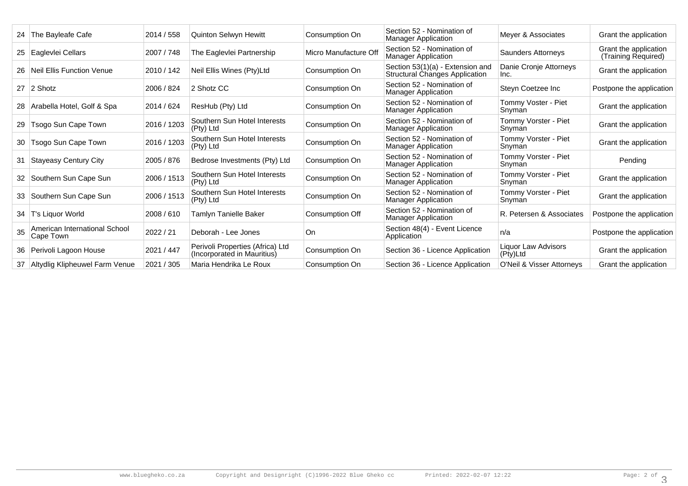| 24 | The Bayleafe Cafe                          | 2014 / 558  | Quinton Selwyn Hewitt                                           | Consumption On        | Section 52 - Nomination of<br><b>Manager Application</b>                  | Meyer & Associates              | Grant the application                        |
|----|--------------------------------------------|-------------|-----------------------------------------------------------------|-----------------------|---------------------------------------------------------------------------|---------------------------------|----------------------------------------------|
| 25 | Eaglevlei Cellars                          | 2007 / 748  | The Eaglevlei Partnership                                       | Micro Manufacture Off | Section 52 - Nomination of<br><b>Manager Application</b>                  | <b>Saunders Attorneys</b>       | Grant the application<br>(Training Required) |
| 26 | Neil Ellis Function Venue                  | 2010 / 142  | Neil Ellis Wines (Pty)Ltd                                       | Consumption On        | Section 53(1)(a) - Extension and<br><b>Structural Changes Application</b> | Danie Cronje Attorneys<br>Inc.  | Grant the application                        |
|    | $27 \vert 2$ Shotz                         | 2006 / 824  | 2 Shotz CC                                                      | Consumption On        | Section 52 - Nomination of<br><b>Manager Application</b>                  | Steyn Coetzee Inc               | Postpone the application                     |
| 28 | Arabella Hotel, Golf & Spa                 | 2014 / 624  | ResHub (Pty) Ltd                                                | Consumption On        | Section 52 - Nomination of<br><b>Manager Application</b>                  | Tommy Voster - Piet<br>Snyman   | Grant the application                        |
| 29 | Tsogo Sun Cape Town                        | 2016 / 1203 | Southern Sun Hotel Interests<br>(Pty) Ltd                       | Consumption On        | Section 52 - Nomination of<br><b>Manager Application</b>                  | Tommy Vorster - Piet<br>Snyman  | Grant the application                        |
| 30 | Tsogo Sun Cape Town                        | 2016 / 1203 | Southern Sun Hotel Interests<br>(Pty) Ltd                       | Consumption On        | Section 52 - Nomination of<br><b>Manager Application</b>                  | Tommy Vorster - Piet<br>Snyman  | Grant the application                        |
| 31 | Stayeasy Century City                      | 2005 / 876  | Bedrose Investments (Pty) Ltd                                   | Consumption On        | Section 52 - Nomination of<br><b>Manager Application</b>                  | Tommy Vorster - Piet<br>Snyman  | Pending                                      |
| 32 | Southern Sun Cape Sun                      | 2006 / 1513 | Southern Sun Hotel Interests<br>(Pty) Ltd                       | Consumption On        | Section 52 - Nomination of<br><b>Manager Application</b>                  | Tommy Vorster - Piet<br>Snyman  | Grant the application                        |
| 33 | Southern Sun Cape Sun                      | 2006 / 1513 | Southern Sun Hotel Interests<br>(Pty) Ltd                       | Consumption On        | Section 52 - Nomination of<br><b>Manager Application</b>                  | Tommy Vorster - Piet<br>Snyman  | Grant the application                        |
| 34 | T's Liquor World                           | 2008 / 610  | Tamlyn Tanielle Baker                                           | Consumption Off       | Section 52 - Nomination of<br><b>Manager Application</b>                  | R. Petersen & Associates        | Postpone the application                     |
|    | American International School<br>Cape Town | 2022/21     | Deborah - Lee Jones                                             | On                    | Section 48(4) - Event Licence<br>Application                              | n/a                             | Postpone the application                     |
|    | 36 Perivoli Lagoon House                   | 2021 / 447  | Perivoli Properties (Africa) Ltd<br>(Incorporated in Mauritius) | Consumption On        | Section 36 - Licence Application                                          | Liquor Law Advisors<br>(Pty)Ltd | Grant the application                        |
|    | 37 Altydlig Klipheuwel Farm Venue          | 2021 / 305  | Maria Hendrika Le Roux                                          | Consumption On        | Section 36 - Licence Application                                          | O'Neil & Visser Attorneys       | Grant the application                        |